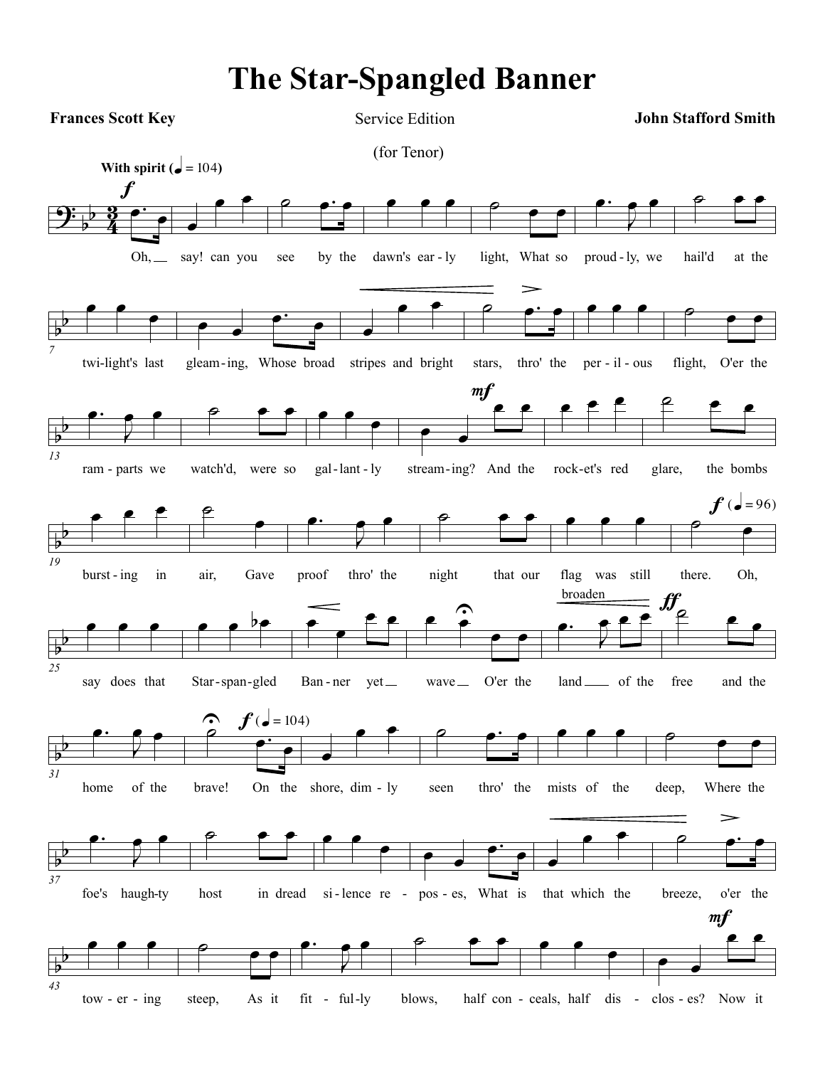## **The Star-Spangled Banner**